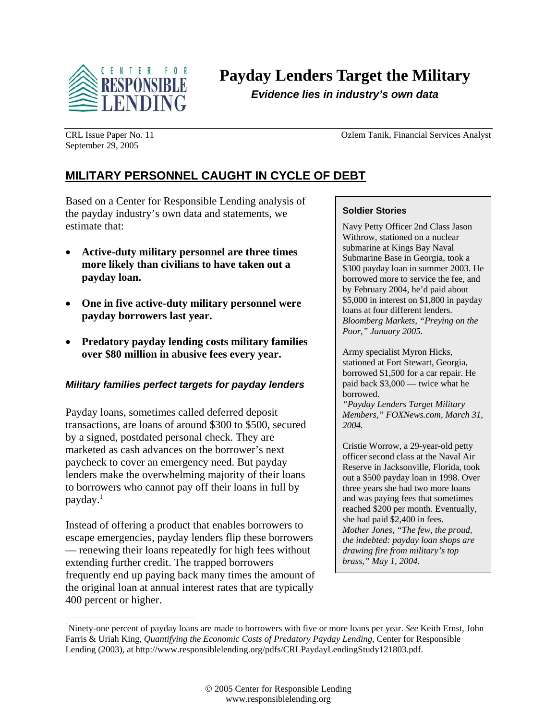

**Payday Lenders Target the Military** 

*Evidence lies in industry's own data* 

September 29, 2005

CRL Issue Paper No. 11 Ozlem Tanik, Financial Services Analyst

# **MILITARY PERSONNEL CAUGHT IN CYCLE OF DEBT**

Based on a Center for Responsible Lending analysis of the payday industry's own data and statements, we estimate that:

- **Active-duty military personnel are three times more likely than civilians to have taken out a payday loan.**
- **One in five active-duty military personnel were payday borrowers last year.**
- **Predatory payday lending costs military families over \$80 million in abusive fees every year.**

## *Military families perfect targets for payday lenders*

Payday loans, sometimes called deferred deposit transactions, are loans of around \$300 to \$500, secured by a signed, postdated personal check. They are marketed as cash advances on the borrower's next paycheck to cover an emergency need. But payday lenders make the overwhelming majority of their loans to borrowers who cannot pay off their loans in full by payday.1

Instead of offering a product that enables borrowers to escape emergencies, payday lenders flip these borrowers — renewing their loans repeatedly for high fees without extending further credit. The trapped borrowers frequently end up paying back many times the amount of the original loan at annual interest rates that are typically 400 percent or higher.

1

#### **Soldier Stories**

Navy Petty Officer 2nd Class Jason Withrow, stationed on a nuclear submarine at Kings Bay Naval Submarine Base in Georgia, took a \$300 payday loan in summer 2003. He borrowed more to service the fee, and by February 2004, he'd paid about \$5,000 in interest on \$1,800 in payday loans at four different lenders. *Bloomberg Markets, "Preying on the Poor," January 2005.* 

Army specialist Myron Hicks, stationed at Fort Stewart, Georgia, borrowed \$1,500 for a car repair. He paid back \$3,000 — twice what he borrowed. *"Payday Lenders Target Military* 

*Members," FOXNews.com, March 31, 2004.* 

Cristie Worrow, a 29-year-old petty officer second class at the Naval Air Reserve in Jacksonville, Florida, took out a \$500 payday loan in 1998. Over three years she had two more loans and was paying fees that sometimes reached \$200 per month. Eventually, she had paid \$2,400 in fees. *Mother Jones, "The few, the proud, the indebted: payday loan shops are drawing fire from military's top brass," May 1, 2004.*

<sup>1</sup> Ninety-one percent of payday loans are made to borrowers with five or more loans per year. *See* Keith Ernst, John Farris & Uriah King, *Quantifying the Economic Costs of Predatory Payday Lending*, Center for Responsible Lending (2003), at http://www.responsiblelending.org/pdfs/CRLPaydayLendingStudy121803.pdf.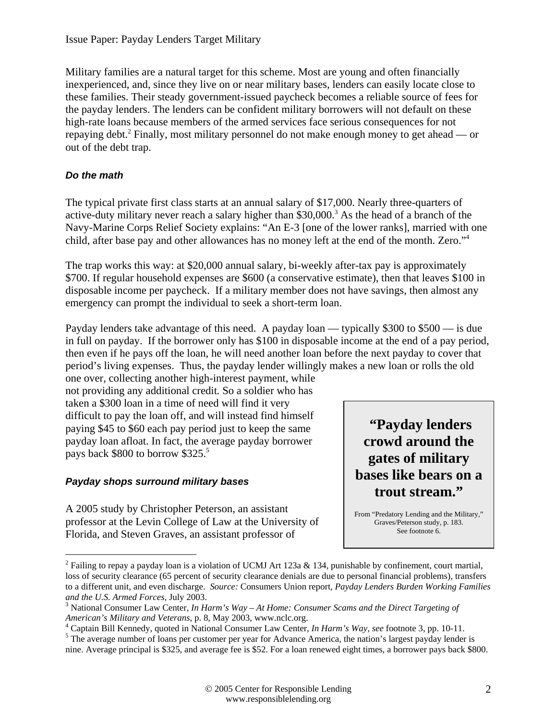Military families are a natural target for this scheme. Most are young and often financially inexperienced, and, since they live on or near military bases, lenders can easily locate close to these families. Their steady government-issued paycheck becomes a reliable source of fees for the payday lenders. The lenders can be confident military borrowers will not default on these high-rate loans because members of the armed services face serious consequences for not repaying debt.<sup>2</sup> Finally, most military personnel do not make enough money to get ahead — or out of the debt trap.

## *Do the math*

 $\overline{a}$ 

The typical private first class starts at an annual salary of \$17,000. Nearly three-quarters of active-duty military never reach a salary higher than  $$30,000$ <sup>3</sup> As the head of a branch of the Navy-Marine Corps Relief Society explains: "An E-3 [one of the lower ranks], married with one child, after base pay and other allowances has no money left at the end of the month. Zero."4

The trap works this way: at \$20,000 annual salary, bi-weekly after-tax pay is approximately \$700. If regular household expenses are \$600 (a conservative estimate), then that leaves \$100 in disposable income per paycheck. If a military member does not have savings, then almost any emergency can prompt the individual to seek a short-term loan.

Payday lenders take advantage of this need. A payday loan — typically \$300 to \$500 — is due in full on payday. If the borrower only has \$100 in disposable income at the end of a pay period, then even if he pays off the loan, he will need another loan before the next payday to cover that period's living expenses. Thus, the payday lender willingly makes a new loan or rolls the old

one over, collecting another high-interest payment, while not providing any additional credit*.* So a soldier who has taken a \$300 loan in a time of need will find it very difficult to pay the loan off, and will instead find himself paying \$45 to \$60 each pay period just to keep the same payday loan afloat. In fact, the average payday borrower pays back \$800 to borrow \$325.<sup>5</sup>

## *Payday shops surround military bases*

A 2005 study by Christopher Peterson, an assistant professor at the Levin College of Law at the University of Florida, and Steven Graves, an assistant professor of



From "Predatory Lending and the Military," Graves/Peterson study, p. 183. See footnote 6.

<sup>&</sup>lt;sup>2</sup> Failing to repay a payday loan is a violation of UCMJ Art 123a & 134, punishable by confinement, court martial, loss of security clearance (65 percent of security clearance denials are due to personal financial problems), transfers to a different unit, and even discharge. *Source:* Consumers Union report*, Payday Lenders Burden Working Families and the U.S. Armed Forces, July 2003.* 

National Consumer Law Center, *In Harm's Way – At Home: Consumer Scams and the Direct Targeting of American's Military and Veterans*, p. 8, May 2003, www.nclc.org. 4

<sup>&</sup>lt;sup>4</sup> Captain Bill Kennedy, quoted in National Consumer Law Center, *In Harm's Way, see* footnote 3, pp. 10-11.

<sup>&</sup>lt;sup>5</sup> The average number of loans per customer per year for Advance America, the nation's largest payday lender is nine. Average principal is \$325, and average fee is \$52. For a loan renewed eight times, a borrower pays back \$800.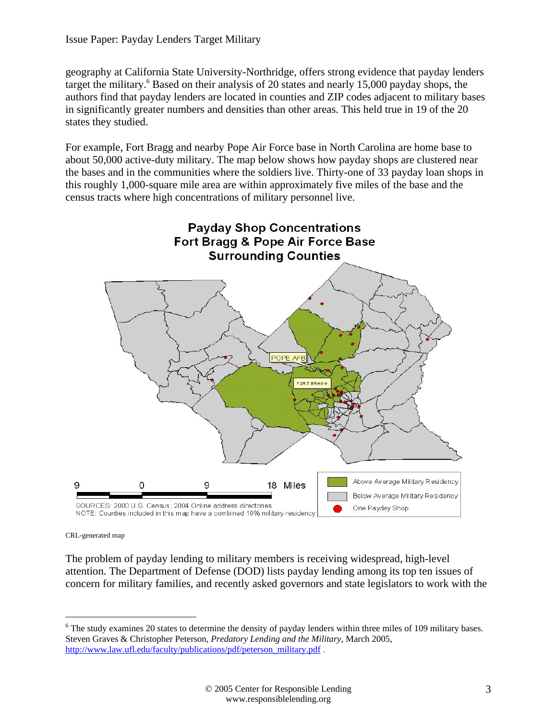geography at California State University-Northridge, offers strong evidence that payday lenders target the military.<sup>6</sup> Based on their analysis of 20 states and nearly 15,000 payday shops, the authors find that payday lenders are located in counties and ZIP codes adjacent to military bases in significantly greater numbers and densities than other areas. This held true in 19 of the 20 states they studied.

For example, Fort Bragg and nearby Pope Air Force base in North Carolina are home base to about 50,000 active-duty military. The map below shows how payday shops are clustered near the bases and in the communities where the soldiers live. Thirty-one of 33 payday loan shops in this roughly 1,000-square mile area are within approximately five miles of the base and the census tracts where high concentrations of military personnel live.



CRL-generated map

 $\overline{a}$ 

The problem of payday lending to military members is receiving widespread, high-level attention. The Department of Defense (DOD) lists payday lending among its top ten issues of concern for military families, and recently asked governors and state legislators to work with the

<sup>&</sup>lt;sup>6</sup> The study examines 20 states to determine the density of payday lenders within three miles of 109 military bases. Steven Graves & Christopher Peterson, *Predatory Lending and the Military*, March 2005, http://www.law.ufl.edu/faculty/publications/pdf/peterson\_military.pdf .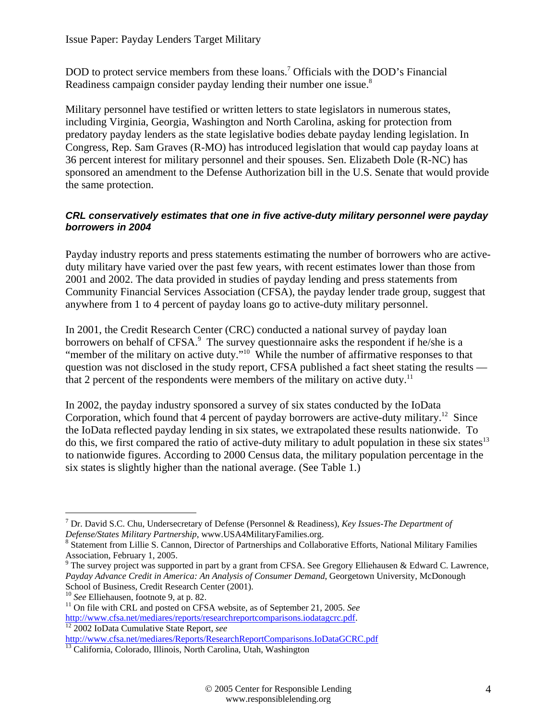DOD to protect service members from these loans.<sup>7</sup> Officials with the DOD's Financial Readiness campaign consider payday lending their number one issue.<sup>8</sup>

Military personnel have testified or written letters to state legislators in numerous states, including Virginia, Georgia, Washington and North Carolina, asking for protection from predatory payday lenders as the state legislative bodies debate payday lending legislation. In Congress, Rep. Sam Graves (R-MO) has introduced legislation that would cap payday loans at 36 percent interest for military personnel and their spouses. Sen. Elizabeth Dole (R-NC) has sponsored an amendment to the Defense Authorization bill in the U.S. Senate that would provide the same protection.

## *CRL conservatively estimates that one in five active-duty military personnel were payday borrowers in 2004*

Payday industry reports and press statements estimating the number of borrowers who are activeduty military have varied over the past few years, with recent estimates lower than those from 2001 and 2002. The data provided in studies of payday lending and press statements from Community Financial Services Association (CFSA), the payday lender trade group, suggest that anywhere from 1 to 4 percent of payday loans go to active-duty military personnel.

In 2001, the Credit Research Center (CRC) conducted a national survey of payday loan borrowers on behalf of CFSA.<sup>9</sup> The survey questionnaire asks the respondent if he/she is a "member of the military on active duty."<sup>10</sup> While the number of affirmative responses to that question was not disclosed in the study report, CFSA published a fact sheet stating the results that 2 percent of the respondents were members of the military on active duty.<sup>11</sup>

In 2002, the payday industry sponsored a survey of six states conducted by the IoData Corporation, which found that 4 percent of payday borrowers are active-duty military.<sup>12</sup> Since the IoData reflected payday lending in six states, we extrapolated these results nationwide. To do this, we first compared the ratio of active-duty military to adult population in these six states<sup>13</sup> to nationwide figures. According to 2000 Census data, the military population percentage in the six states is slightly higher than the national average. (See Table 1.)

<sup>7</sup> Dr. David S.C. Chu, Undersecretary of Defense (Personnel & Readiness), *Key Issues-The Department of Defense/States Military Partnership*, www.USA4MilitaryFamilies.org. 8

Statement from Lillie S. Cannon, Director of Partnerships and Collaborative Efforts, National Military Families Association, February 1, 2005.

<sup>&</sup>lt;sup>9</sup> The survey project was supported in part by a grant from CFSA. See Gregory Elliehausen & Edward C. Lawrence, *Payday Advance Credit in America: An Analysis of Consumer Demand*, Georgetown University, McDonough School of Business, Credit Research Center (2001).<br><sup>10</sup> See Elliehausen, footnote 9, at p. 82.

<sup>&</sup>lt;sup>11</sup> On file with CRL and posted on CFSA website, as of September 21, 2005. See http://www.cfsa.net/mediares/reports/researchreportcomparisons.iodatagcrc.pdf. 12 2002 IoData Cumulative State Report, *see*

http://www.cfsa.net/mediares/Reports/ResearchReportComparisons.IoDataGCRC.pdf 13 California, Colorado, Illinois, North Carolina, Utah, Washington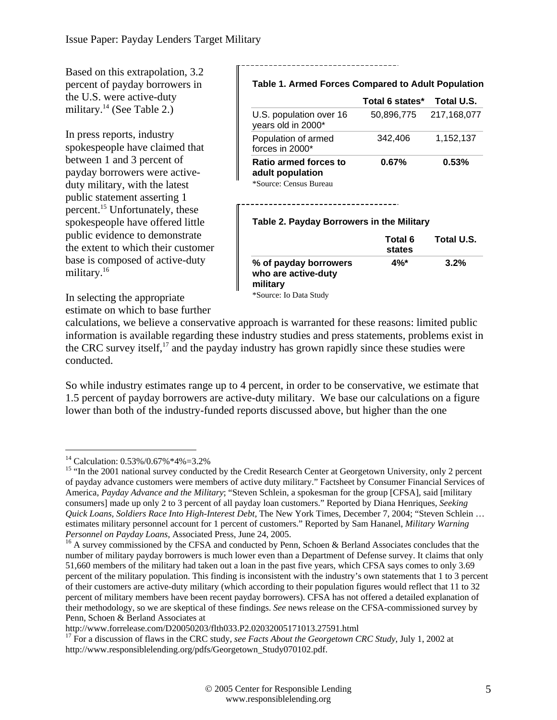Based on this extrapolation, 3.2 percent of payday borrowers in the U.S. were active-duty military.<sup>14</sup> (See Table 2.)

In press reports, industry spokespeople have claimed that between 1 and 3 percent of payday borrowers were activeduty military, with the latest public statement asserting 1 percent.15 Unfortunately, these spokespeople have offered little public evidence to demonstrate the extent to which their customer base is composed of active-duty military.<sup>16</sup>

**Table 1. Armed Forces Compared to Adult Population**

|                                                                     | Total 6 states* | Total U.S.  |
|---------------------------------------------------------------------|-----------------|-------------|
| U.S. population over 16<br>years old in 2000*                       | 50.896.775      | 217,168,077 |
| Population of armed<br>forces in 2000*                              | 342,406         | 1,152,137   |
| Ratio armed forces to<br>adult population<br>*Source: Census Bureau | $0.67\%$        | 0.53%       |

#### **Table 2. Payday Borrowers in the Military**

|                                              | Total 6<br>states | Total U.S. |
|----------------------------------------------|-------------------|------------|
| % of payday borrowers<br>who are active-duty | $4\%$ *           | 3.2%       |
| military                                     |                   |            |
| *Source: Io Data Study                       |                   |            |

In selecting the appropriate estimate on which to base further

calculations, we believe a conservative approach is warranted for these reasons: limited public information is available regarding these industry studies and press statements, problems exist in the CRC survey itself,<sup>17</sup> and the payday industry has grown rapidly since these studies were conducted.

So while industry estimates range up to 4 percent, in order to be conservative, we estimate that 1.5 percent of payday borrowers are active-duty military. We base our calculations on a figure lower than both of the industry-funded reports discussed above, but higher than the one

<sup>14</sup> Calculation: 0.53%/0.67%\*4%=3.2%

<sup>&</sup>lt;sup>15</sup> "In the 2001 national survey conducted by the Credit Research Center at Georgetown University, only 2 percent of payday advance customers were members of active duty military." Factsheet by Consumer Financial Services of America, *Payday Advance and the Military*; "Steven Schlein, a spokesman for the group [CFSA], said [military consumers] made up only 2 to 3 percent of all payday loan customers." Reported by Diana Henriques*, Seeking Quick Loans, Soldiers Race Into High-Interest Debt,* The New York Times*,* December 7, 2004; "Steven Schlein … estimates military personnel account for 1 percent of customers." Reported by Sam Hananel, *Military Warning Personnel on Payday Loans*, Associated Press, June 24, 2005.<br><sup>16</sup> A survey commissioned by the CFSA and conducted by Penn, Schoen & Berland Associates concludes that the

number of military payday borrowers is much lower even than a Department of Defense survey. It claims that only 51,660 members of the military had taken out a loan in the past five years, which CFSA says comes to only 3.69 percent of the military population. This finding is inconsistent with the industry's own statements that 1 to 3 percent of their customers are active-duty military (which according to their population figures would reflect that 11 to 32 percent of military members have been recent payday borrowers). CFSA has not offered a detailed explanation of their methodology, so we are skeptical of these findings. *See* news release on the CFSA-commissioned survey by Penn, Schoen & Berland Associates at<br>http://www.forrelease.com/D20050203/flth033.P2.02032005171013.27591.html

<sup>&</sup>lt;sup>17</sup> For a discussion of flaws in the CRC study, see *Facts About the Georgetown CRC Study*, July 1, 2002 at http://www.responsiblelending.org/pdfs/Georgetown\_Study070102.pdf.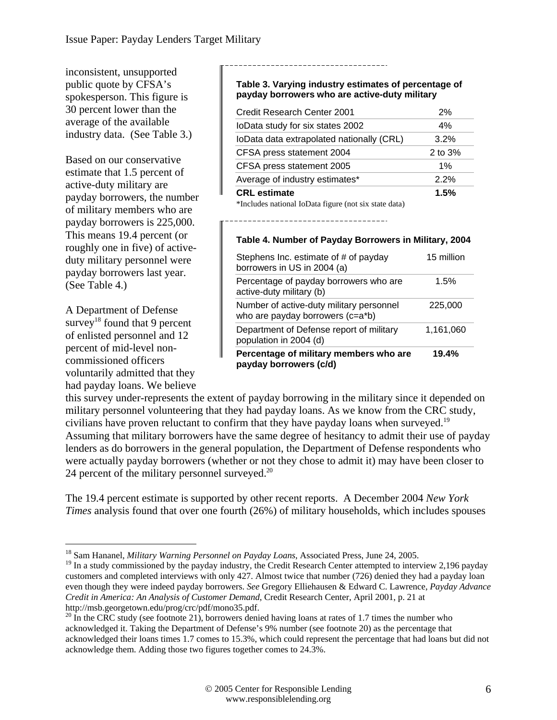inconsistent, unsupported public quote by CFSA's spokesperson. This figure is 30 percent lower than the average of the available industry data. (See Table 3.)

Based on our conservative estimate that 1.5 percent of active-duty military are payday borrowers, the number of military members who are payday borrowers is 225,000. This means 19.4 percent (or roughly one in five) of activeduty military personnel were payday borrowers last year. (See Table 4.)

A Department of Defense survey<sup>18</sup> found that 9 percent of enlisted personnel and 12 percent of mid-level noncommissioned officers voluntarily admitted that they had payday loans. We believe

1

#### **Table 3. Varying industry estimates of percentage of payday borrowers who are active-duty military**

| Credit Research Center 2001                           | 2%        |
|-------------------------------------------------------|-----------|
| loData study for six states 2002                      | 4%        |
| loData data extrapolated nationally (CRL)             | 3.2%      |
| CFSA press statement 2004                             | 2 to $3%$ |
| CFSA press statement 2005                             | 1%        |
| Average of industry estimates*                        | 2.2%      |
| <b>CRL</b> estimate                                   | 1.5%      |
| *Includes national IoData figure (not six state data) |           |

#### **Table 4. Number of Payday Borrowers in Military, 2004**

| Stephens Inc. estimate of # of payday<br>borrowers in US in 2004 (a)         | 15 million |
|------------------------------------------------------------------------------|------------|
| Percentage of payday borrowers who are<br>active-duty military (b)           | 1.5%       |
| Number of active-duty military personnel<br>who are payday borrowers (c=a*b) | 225,000    |
| Department of Defense report of military<br>population in 2004 (d)           | 1,161,060  |
| Percentage of military members who are<br>payday borrowers (c/d)             | 19.4%      |

this survey under-represents the extent of payday borrowing in the military since it depended on military personnel volunteering that they had payday loans. As we know from the CRC study, civilians have proven reluctant to confirm that they have payday loans when surveyed.<sup>19</sup> Assuming that military borrowers have the same degree of hesitancy to admit their use of payday lenders as do borrowers in the general population, the Department of Defense respondents who were actually payday borrowers (whether or not they chose to admit it) may have been closer to 24 percent of the military personnel surveyed.<sup>20</sup>

The 19.4 percent estimate is supported by other recent reports. A December 2004 *New York Times* analysis found that over one fourth (26%) of military households, which includes spouses

<sup>18</sup> Sam Hananel, *Military Warning Personnel on Payday Loans*, Associated Press, June 24, 2005.

<sup>&</sup>lt;sup>19</sup> In a study commissioned by the payday industry, the Credit Research Center attempted to interview 2,196 payday customers and completed interviews with only 427. Almost twice that number (726) denied they had a payday loan even though they were indeed payday borrowers. *See* Gregory Elliehausen & Edward C. Lawrence, *Payday Advance Credit in America: An Analysis of Customer Demand*, Credit Research Center, April 2001, p. 21 at http://msb.georgetown.edu/prog/crc/pdf/mono35.pdf.

<sup>&</sup>lt;sup>20</sup> In the CRC study (see footnote 21), borrowers denied having loans at rates of 1.7 times the number who acknowledged it. Taking the Department of Defense's 9% number (see footnote 20) as the percentage that acknowledged their loans times 1.7 comes to 15.3%, which could represent the percentage that had loans but did not acknowledge them. Adding those two figures together comes to 24.3%.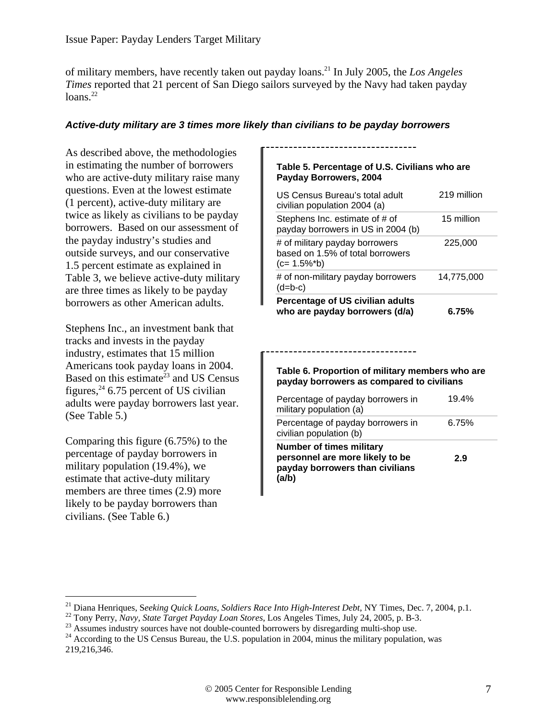of military members, have recently taken out payday loans.21 In July 2005, the *Los Angeles Times* reported that 21 percent of San Diego sailors surveyed by the Navy had taken payday loans. $^{22}$ 

#### *Active-duty military are 3 times more likely than civilians to be payday borrowers*

As described above, the methodologies in estimating the number of borrowers who are active-duty military raise many questions. Even at the lowest estimate (1 percent), active-duty military are twice as likely as civilians to be payday borrowers. Based on our assessment of the payday industry's studies and outside surveys, and our conservative 1.5 percent estimate as explained in Table 3, we believe active-duty military are three times as likely to be payday borrowers as other American adults.

Stephens Inc., an investment bank that tracks and invests in the payday industry, estimates that 15 million Americans took payday loans in 2004. Based on this estimate<sup> $23$ </sup> and US Census figures,  $24$  6.75 percent of US civilian adults were payday borrowers last year. (See Table 5.)

Comparing this figure (6.75%) to the percentage of payday borrowers in military population (19.4%), we estimate that active-duty military members are three times  $(2.9)$  more likely to be payday borrowers than civilians. (See Table 6.)

 $\overline{a}$ 

#### **Table 5. Percentage of U.S. Civilians who are Payday Borrowers, 2004**

| US Census Bureau's total adult<br>civilian population 2004 (a)                       | 219 million |
|--------------------------------------------------------------------------------------|-------------|
| Stephens Inc. estimate of # of<br>payday borrowers in US in 2004 (b)                 | 15 million  |
| # of military payday borrowers<br>based on 1.5% of total borrowers<br>$(c=1.5\%^*b)$ | 225,000     |
| # of non-military payday borrowers<br>$(d=b-c)$                                      | 14,775,000  |
| Percentage of US civilian adults<br>who are payday borrowers (d/a)                   | 6.75%       |

#### **Table 6. Proportion of military members who are payday borrowers as compared to civilians**

| Percentage of payday borrowers in<br>military population (a)                                                   | 19.4% |
|----------------------------------------------------------------------------------------------------------------|-------|
| Percentage of payday borrowers in<br>civilian population (b)                                                   | 6.75% |
| <b>Number of times military</b><br>personnel are more likely to be<br>payday borrowers than civilians<br>(a/b) | 2.9   |

<sup>&</sup>lt;sup>21</sup> Diana Henriques, Seeking Quick Loans, Soldiers Race Into High-Interest Debt, NY Times, Dec. 7, 2004, p.1.<br><sup>22</sup> Tony Perry, Navy, State Target Payday Loan Stores, Los Angeles Times, July 24, 2005, p. B-3.<br><sup>23</sup> Assumes

<sup>219,216,346.</sup>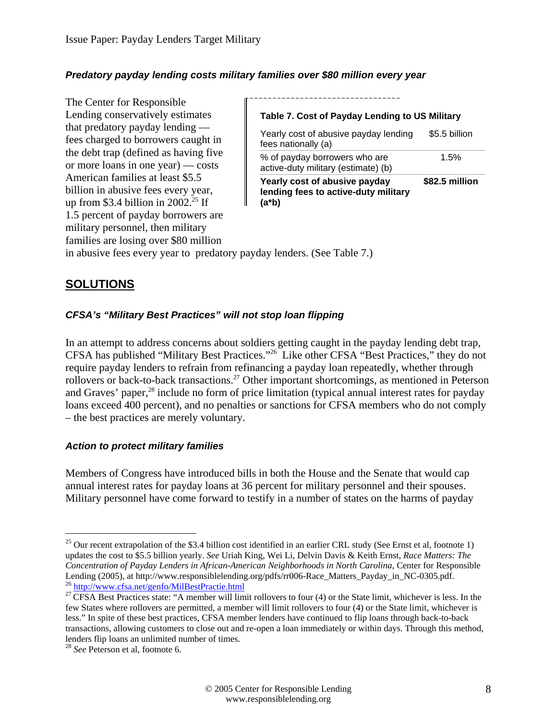### *Predatory payday lending costs military families over \$80 million every year*

The Center for Responsible Lending conservatively estimates that predatory payday lending fees charged to borrowers caught in the debt trap (defined as having five or more loans in one year) — costs American families at least \$5.5 billion in abusive fees every year, up from \$3.4 billion in 2002.<sup>25</sup> If 1.5 percent of payday borrowers are military personnel, then military families are losing over \$80 million

#### **Table 7. Cost of Payday Lending to US Military**

| Yearly cost of abusive payday<br>lending fees to active-duty military<br>(a*b) | \$82.5 million |
|--------------------------------------------------------------------------------|----------------|
| % of payday borrowers who are<br>active-duty military (estimate) (b)           | 1.5%           |
| Yearly cost of abusive payday lending<br>fees nationally (a)                   | \$5.5 billion  |

in abusive fees every year to predatory payday lenders. (See Table 7.)

## **SOLUTIONS**

### *CFSA's "Military Best Practices" will not stop loan flipping*

In an attempt to address concerns about soldiers getting caught in the payday lending debt trap, CFSA has published "Military Best Practices."26 Like other CFSA "Best Practices," they do not require payday lenders to refrain from refinancing a payday loan repeatedly, whether through rollovers or back-to-back transactions.<sup>27</sup> Other important shortcomings, as mentioned in Peterson and Graves' paper,<sup>28</sup> include no form of price limitation (typical annual interest rates for payday loans exceed 400 percent), and no penalties or sanctions for CFSA members who do not comply – the best practices are merely voluntary.

#### *Action to protect military families*

Members of Congress have introduced bills in both the House and the Senate that would cap annual interest rates for payday loans at 36 percent for military personnel and their spouses. Military personnel have come forward to testify in a number of states on the harms of payday

 $25$  Our recent extrapolation of the \$3.4 billion cost identified in an earlier CRL study (See Ernst et al, footnote 1) updates the cost to \$5.5 billion yearly. *See* Uriah King, Wei Li, Delvin Davis & Keith Ernst, *Race Matters: The Concentration of Payday Lenders in African-American Neighborhoods in North Carolina*, Center for Responsible Lending (2005), at http://www.responsiblelending.org/pdfs/rr006-Race\_Matters\_Payday\_in\_NC-0305.pdf.<br><sup>26</sup> http://www.cfsa.net/genfo/MilBestPractie.html<br><sup>27</sup> CFSA Best Practices state: "A member will limit rollovers to four

few States where rollovers are permitted, a member will limit rollovers to four (4) or the State limit, whichever is less." In spite of these best practices, CFSA member lenders have continued to flip loans through back-to-back transactions, allowing customers to close out and re-open a loan immediately or within days. Through this method, lenders flip loans an unlimited number of times.

<sup>28</sup> *See* Peterson et al, footnote 6.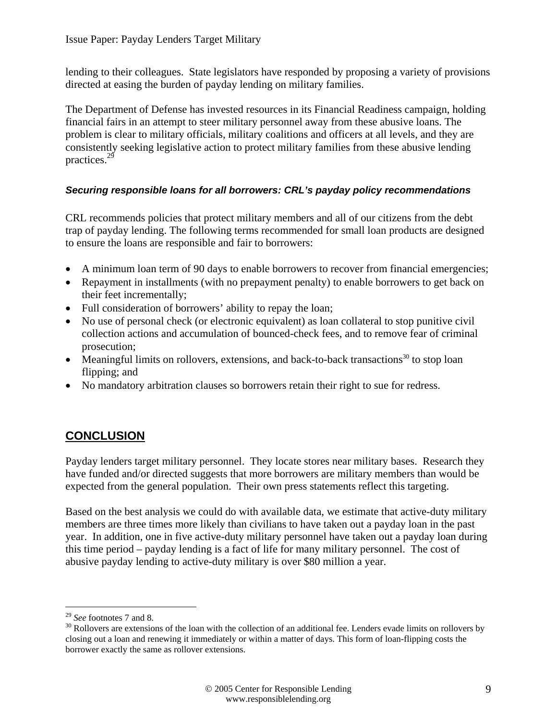lending to their colleagues. State legislators have responded by proposing a variety of provisions directed at easing the burden of payday lending on military families.

The Department of Defense has invested resources in its Financial Readiness campaign, holding financial fairs in an attempt to steer military personnel away from these abusive loans. The problem is clear to military officials, military coalitions and officers at all levels, and they are consistently seeking legislative action to protect military families from these abusive lending practices.29

## *Securing responsible loans for all borrowers: CRL's payday policy recommendations*

CRL recommends policies that protect military members and all of our citizens from the debt trap of payday lending. The following terms recommended for small loan products are designed to ensure the loans are responsible and fair to borrowers:

- A minimum loan term of 90 days to enable borrowers to recover from financial emergencies;
- Repayment in installments (with no prepayment penalty) to enable borrowers to get back on their feet incrementally;
- Full consideration of borrowers' ability to repay the loan;
- No use of personal check (or electronic equivalent) as loan collateral to stop punitive civil collection actions and accumulation of bounced-check fees, and to remove fear of criminal prosecution;
- Meaningful limits on rollovers, extensions, and back-to-back transactions<sup>30</sup> to stop loan flipping; and
- No mandatory arbitration clauses so borrowers retain their right to sue for redress.

# **CONCLUSION**

Payday lenders target military personnel. They locate stores near military bases. Research they have funded and/or directed suggests that more borrowers are military members than would be expected from the general population. Their own press statements reflect this targeting.

Based on the best analysis we could do with available data, we estimate that active-duty military members are three times more likely than civilians to have taken out a payday loan in the past year. In addition, one in five active-duty military personnel have taken out a payday loan during this time period – payday lending is a fact of life for many military personnel. The cost of abusive payday lending to active-duty military is over \$80 million a year.

<sup>&</sup>lt;sup>29</sup> *See* footnotes 7 and 8.<br><sup>30</sup> Rollovers are extensions of the loan with the collection of an additional fee. Lenders evade limits on rollovers by closing out a loan and renewing it immediately or within a matter of days. This form of loan-flipping costs the borrower exactly the same as rollover extensions.